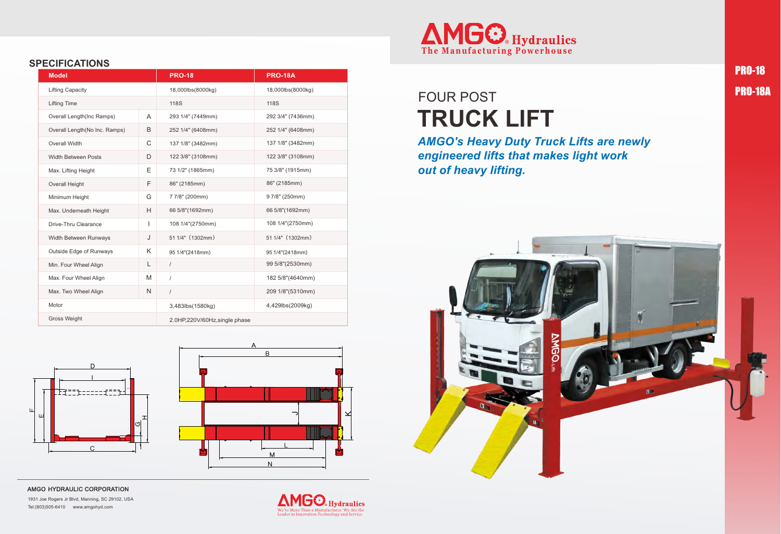#### **SPECIFICATIONS**

#### AMGO HYDRAULIC CORPORATION

1931 Joe Rogers Jr Blvd, Manning, SC 29102, USA Tel:(803)505-6410 www.amgohyd.com

We're More Than a Manufacturer. We Are the Leader in Innovation,Technology and Service

PRO-18 PRO-18A

### **TRUCK LIFT** FOUR POST

*AMGO's Heavy Duty Truck Lifts are newly engineered lifts that makes light work out of heavy lifting.*





| <b>Model</b>                  |              | <b>PRO-18</b>                 | <b>PRO-18A</b>    |
|-------------------------------|--------------|-------------------------------|-------------------|
| <b>Lifting Capacity</b>       |              | 18,000lbs(8000kg)             | 18,000lbs(8000kg) |
| <b>Lifting Time</b>           |              | <b>118S</b>                   | <b>118S</b>       |
| Overall Length(Inc Ramps)     | A            | 293 1/4" (7449mm)             | 292 3/4" (7436mm) |
| Overall Length(No Inc. Ramps) | B            | 252 1/4" (6408mm)             | 252 1/4" (6408mm) |
| Overall Width                 | $\mathsf C$  | 137 1/8" (3482mm)             | 137 1/8" (3482mm) |
| <b>Width Between Posts</b>    | D            | 122 3/8" (3108mm)             | 122 3/8" (3108mm) |
| Max. Lifting Height           | Ε            | 73 1/2" (1865mm)              | 75 3/8" (1915mm)  |
| <b>Overall Height</b>         | F            | 86" (2185mm)                  | 86" (2185mm)      |
| Minimum Height                | G            | 77/8" (200mm)                 | 97/8" (250mm)     |
| Max. Underneath Height        | H            | 66 5/8"(1692mm)               | 66 5/8"(1692mm)   |
| Drive-Thru Clearance          | $\mathbf{I}$ | 108 1/4"(2750mm)              | 108 1/4"(2750mm)  |
| Width Between Runways         | J            | 51 1/4" (1302mm)              | 51 1/4" (1302mm)  |
| Outside Edge of Runways       | K            | 95 1/4"(2418mm)               | 95 1/4"(2418mm)   |
| Min. Four Wheel Align         | L            | $\sqrt{2}$                    | 99 5/8"(2530mm)   |
| Max. Four Wheel Align         | M            | $\overline{1}$                | 182 5/8"(4640mm)  |
| Max. Two Wheel Align          | $\mathsf{N}$ | $\sqrt{2}$                    | 209 1/8"(5310mm)  |
| Motor                         |              | 3,483lbs(1580kg)              | 4,429lbs(2009kg)  |
| Gross Weight                  |              | 2.0HP,220V/60Hz, single phase |                   |



A